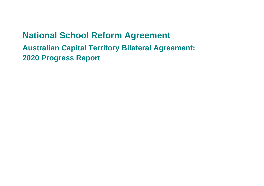# **National School Reform Agreement Australian Capital Territory Bilateral Agreement:**

**2020 Progress Report**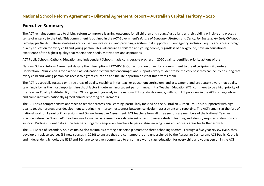#### **Executive Summary**

The ACT remains committed to driving reform to improve learning outcomes for all children and young Australians as their guiding principle and places a sense of urgency to the task. This commitment is outlined in the ACT Government's *Future of Education Strategy* and *Set Up for Success: An Early Childhood Strategy for the ACT.* These strategies are focused on investing in and providing a system that supports student agency, inclusion, equity and access to high quality education for every child and young person. This will ensure all children and young people, regardless of background, have an educational experience of the highest quality that meets their needs, motivations and aspirations.

ACT Public Schools, Catholic Education and Independent Schools made considerable progress in 2020 against identified priority actions of the

National School Reform Agreement despite the interruption of COVID-19. Our actions are driven by a commitment to the Alice Springs Mparntwe Declaration – 'Our vision is for a world class education system that encourages and supports every student to be the very best they can be' by ensuring that every child and young person has access to a great education and the life opportunities that this affords them.

The ACT is especially focused on three areas of quality teaching: initial teacher education; curriculum; and assessment; and are acutely aware that quality teaching is by far the most important in-school factor in determining student performance. Initial Teacher Education (ITE) continues to be a high priority of the Teacher Quality Institute (TQI). The TQI is engaged rigorously in the national ITE standards agenda, with both ITE providers in the ACT coming onboard and compliant with nationally agreed annual reporting requirements.

The ACT has a comprehensive approach to teacher professional learning, particularly focused on the Australian Curriculum. This is supported with high quality teacher professional development targeting the interconnectedness between curriculum, assessment and reporting. The ACT remains at the fore of national work on Learning Progressions and Online Formative Assessment. ACT teachers from all three sectors are members of the National Teacher Practice Reference Group. ACT teachers use formative assessment on a daily/weekly basis to assess student learning and identify required instruction and support. Putting student data at the teachers' fingertips empowers teachers to personalise learning plans and address areas for further growth.

The ACT Board of Secondary Studies (BSSS) also maintains a strong partnership across the three schooling sectors. Through a five-year review cycle, they develop or replace courses (35 new courses in 2020) to ensure they are contemporary and underpinned by the Australian Curriculum. ACT Public, Catholic and Independent Schools, the BSSS and TQI, are collectively committed to ensuring a world class education for every child and young person in the ACT.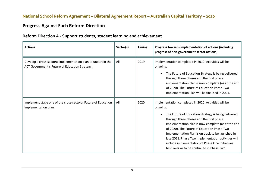## **Progress Against Each Reform Direction**

| <b>Actions</b>                                                                                                 | Sector(s) | <b>Timing</b> | Progress towards implementation of actions (including<br>progress of non-government sector actions)                                                                                                                                                                                                                                                                                                                                                                                                |
|----------------------------------------------------------------------------------------------------------------|-----------|---------------|----------------------------------------------------------------------------------------------------------------------------------------------------------------------------------------------------------------------------------------------------------------------------------------------------------------------------------------------------------------------------------------------------------------------------------------------------------------------------------------------------|
| Develop a cross-sectoral implementation plan to underpin the<br>ACT Government's Future of Education Strategy. | All       | 2019          | Implementation completed in 2019. Activities will be<br>ongoing.<br>The Future of Education Strategy is being delivered<br>$\bullet$<br>through three phases and the first phase<br>implementation plan is now complete (as at the end<br>of 2020). The Future of Education Phase Two<br>Implementation Plan will be finalised in 2021.                                                                                                                                                            |
| Implement stage one of the cross-sectoral Future of Education<br>implementation plan.                          | All       | 2020          | Implementation completed in 2020. Activities will be<br>ongoing.<br>The Future of Education Strategy is being delivered<br>$\bullet$<br>through three phases and the first phase<br>implementation plan is now complete (as at the end<br>of 2020). The Future of Education Phase Two<br>Implementation Plan is on track to be launched in<br>late 2021. Phase Two implementation activities will<br>include implementation of Phase One initiatives<br>held over or to be continued in Phase Two. |

#### **Reform Direction A - Support students, student learning and achievement**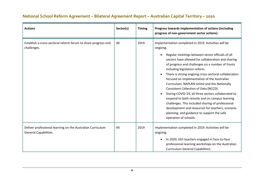| <b>Actions</b>                                                                      | Sector(s) | <b>Timing</b> | Progress towards implementation of actions (including<br>progress of non-government sector actions)                                                                                                                                                                                                                                                                                                                                                                                                                                                                                                                                                                                                                                                                              |
|-------------------------------------------------------------------------------------|-----------|---------------|----------------------------------------------------------------------------------------------------------------------------------------------------------------------------------------------------------------------------------------------------------------------------------------------------------------------------------------------------------------------------------------------------------------------------------------------------------------------------------------------------------------------------------------------------------------------------------------------------------------------------------------------------------------------------------------------------------------------------------------------------------------------------------|
| Establish a cross-sectoral reform forum to share progress and<br>challenges.        | All       | 2019          | Implementation completed in 2019. Activities will be<br>ongoing.<br>Regular meetings between senior officials of all<br>$\bullet$<br>sectors have allowed for collaboration and sharing<br>of progress and challenges on a number of fronts<br>including legislation reform.<br>There is strong ongoing cross-sectoral collaboration<br>$\bullet$<br>focused on implementation of the Australian<br>Curriculum, NAPLAN online and the Nationally<br>Consistent Collection of Data (NCCD).<br>During COVID-19, all three sectors collaborated to<br>respond to both remote and on campus learning<br>challenges. This included sharing of professional<br>development and resources for teachers, scenario<br>planning, and guidance to support the safe<br>operation of schools. |
| Deliver professional learning on the Australian Curriculum<br>General Capabilities. | All       | 2019          | Implementation completed in 2019. Activities will be<br>ongoing.<br>In 2020, 655 teachers engaged in face-to-face<br>$\bullet$<br>professional learning workshops on the Australian<br>Curriculum General Capabilities.                                                                                                                                                                                                                                                                                                                                                                                                                                                                                                                                                          |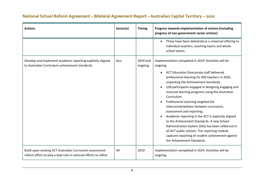| <b>Actions</b>                                                                                                              | Sector(s) | <b>Timing</b>       | Progress towards implementation of actions (including<br>progress of non-government sector actions)                                                                                                                                                                                                                                                                                                                                                                                                                                                                                                                                                                                                                                                 |
|-----------------------------------------------------------------------------------------------------------------------------|-----------|---------------------|-----------------------------------------------------------------------------------------------------------------------------------------------------------------------------------------------------------------------------------------------------------------------------------------------------------------------------------------------------------------------------------------------------------------------------------------------------------------------------------------------------------------------------------------------------------------------------------------------------------------------------------------------------------------------------------------------------------------------------------------------------|
|                                                                                                                             |           |                     | These have been delivered as a universal offering to<br>individual teachers, teaching teams and whole<br>school teams.                                                                                                                                                                                                                                                                                                                                                                                                                                                                                                                                                                                                                              |
| Develop and implement academic reporting explicitly aligned<br>to Australian Curriculum achievement standards.              | Gov       | 2019 and<br>ongoing | Implementation completed in 2019. Activities will be<br>ongoing.<br><b>ACT Education Directorate staff delivered</b><br>professional learning for 400 teachers in 2020,<br>unpacking the Achievement Standards.<br>158 participants engaged in designing engaging and<br>inclusive learning programs using the Australian<br>Curriculum.<br>Professional Learning targeted the<br>interconnectedness between curriculum,<br>assessment and reporting.<br>Academic reporting in the ACT is explicitly aligned<br>to the Achievement Standards. A new School<br>Administration System (SAS) has been rolled out in<br>all ACT public schools. The reporting module<br>captures reporting of student achievement against<br>the Achievement Standards. |
| Build upon existing ACT Australian Curriculum assessment<br>reform effort to play a lead role in national efforts to refine | All       | 2019                | Implementation completed in 2019. Activities will be<br>ongoing.                                                                                                                                                                                                                                                                                                                                                                                                                                                                                                                                                                                                                                                                                    |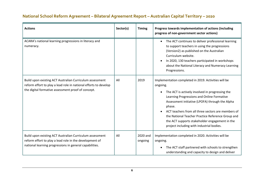| <b>Actions</b>                                                                                                                                                                     | Sector(s) | <b>Timing</b>       | Progress towards implementation of actions (including<br>progress of non-government sector actions)                                                                                                                                                                                                                                                                                                                                                   |
|------------------------------------------------------------------------------------------------------------------------------------------------------------------------------------|-----------|---------------------|-------------------------------------------------------------------------------------------------------------------------------------------------------------------------------------------------------------------------------------------------------------------------------------------------------------------------------------------------------------------------------------------------------------------------------------------------------|
| ACARA's national learning progressions in literacy and<br>numeracy.                                                                                                                |           |                     | The ACT continues to deliver professional learning<br>$\bullet$<br>to support teachers in using the progressions<br>(Version2) as published on the Australian<br>Curriculum website.<br>In 2020, 130 teachers participated in workshops<br>about the National Literacy and Numeracy Learning<br>Progressions.                                                                                                                                         |
| Build upon existing ACT Australian Curriculum assessment<br>reform effort to play a lead role in national efforts to develop<br>the digital formative assessment proof of concept. | All       | 2019                | Implementation completed in 2019. Activities will be<br>ongoing.<br>The ACT is actively involved in progressing the<br>$\bullet$<br>Learning Progressions and Online Formative<br>Assessment initiative (LPOFA) through the Alpha<br>phase.<br>ACT teachers from all three sectors are members of<br>the National Teacher Practice Reference Group and<br>the ACT supports stakeholder engagement in the<br>project including with industrial bodies. |
| Build upon existing ACT Australian Curriculum assessment<br>reform effort to play a lead role in the development of<br>national learning progressions in general capabilities.     | All       | 2020 and<br>ongoing | Implementation completed in 2020. Activities will be<br>ongoing.<br>The ACT staff partnered with schools to strengthen<br>$\bullet$<br>understanding and capacity to design and deliver                                                                                                                                                                                                                                                               |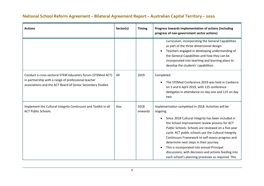#### **Actions Sector(s) Timing Progress towards implementation of actions (including progress of non-government sector actions)**  curriculum, incorporating the General Capabilities as part of the three-dimensional design. • Teachers engaged in developing understanding of the General Capabilities and how they can be incorporated into teaching and learning plans to develop the students' capabilities. Conduct a cross-sectoral STEM educators forum (STEMed ACT) in partnership with a range of professional teacher associations and the ACT Board of Senior Secondary Studies. All 2019 Completed. • The STEMed Conference 2019 was held in Canberra on 5 and 6 April 2019, with 125 conference delegates in attendance on day one and 115 on day two. Implement the Cultural Integrity Continuum and Toolkit in all ACT Public Schools. Gov  $\vert$  2018 onwards Implementation completed in 2018. Activities will be ongoing. • Since 2018 Cultural Integrity has been included in the School Improvement review process for ACT Public Schools. Schools are reviewed on a five-year cycle. ACT public schools use the Cultural Integrity Continuum Framework to self-assess progress and determine next steps in their journey. • This is incorporated into annual Principal discussions, with decisions and actions feeding into each school's planning processes as required. This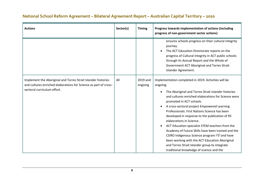| <b>Actions</b>                                                                                                                                                   | Sector(s) | <b>Timing</b>       | Progress towards implementation of actions (including<br>progress of non-government sector actions)                                                                                                                                                                                                                                                                                                                                                                                                                                                                                                                                                                                                                                                                |
|------------------------------------------------------------------------------------------------------------------------------------------------------------------|-----------|---------------------|--------------------------------------------------------------------------------------------------------------------------------------------------------------------------------------------------------------------------------------------------------------------------------------------------------------------------------------------------------------------------------------------------------------------------------------------------------------------------------------------------------------------------------------------------------------------------------------------------------------------------------------------------------------------------------------------------------------------------------------------------------------------|
|                                                                                                                                                                  |           |                     | ensures schools progress on their cultural integrity<br>journey.<br>The ACT Education Directorate reports on the<br>progress of Cultural Integrity in ACT public schools<br>through its Annual Report and the Whole of<br>Government ACT Aboriginal and Torres Strait<br>Islander Agreement.                                                                                                                                                                                                                                                                                                                                                                                                                                                                       |
| Implement the Aboriginal and Torres Strait Islander histories<br>and cultures enriched elaborations for Science as part of cross-<br>sectoral curriculum effort. | All       | 2019 and<br>ongoing | Implementation completed in 2019. Activities will be<br>ongoing.<br>The Aboriginal and Torres Strait Islander histories<br>$\bullet$<br>and cultures enriched elaborations for Science were<br>promoted in ACT schools.<br>A cross-sectoral project Empowered Learning<br>$\bullet$<br>Professionals: First Nations Science has been<br>developed in response to the publication of 95<br>elaborations in Science.<br>ACT Education specialist STEM teachers from the<br>$\bullet$<br>Academy of Future Skills have been trained and the<br>CSIRO Indigenous Science program I <sup>2</sup> S <sup>2</sup> and have<br>been working with the ACT Education Aboriginal<br>and Torres Strait Islander group to integrate<br>traditional knowledge of science and the |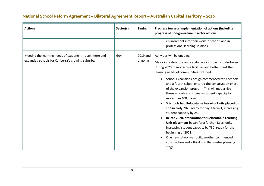| <b>Actions</b>                                                                                              | Sector(s) | <b>Timing</b>       | Progress towards implementation of actions (including<br>progress of non-government sector actions)                                                                                                                                                                                                                                                                                                                                                                                                                                                                                                                                                                                                                                                                                                                                                                                                         |
|-------------------------------------------------------------------------------------------------------------|-----------|---------------------|-------------------------------------------------------------------------------------------------------------------------------------------------------------------------------------------------------------------------------------------------------------------------------------------------------------------------------------------------------------------------------------------------------------------------------------------------------------------------------------------------------------------------------------------------------------------------------------------------------------------------------------------------------------------------------------------------------------------------------------------------------------------------------------------------------------------------------------------------------------------------------------------------------------|
|                                                                                                             |           |                     | environment into their work in schools and in<br>professional learning sessions.                                                                                                                                                                                                                                                                                                                                                                                                                                                                                                                                                                                                                                                                                                                                                                                                                            |
| Meeting the learning needs of students through more and<br>expanded schools for Canberra's growing suburbs. | Gov       | 2019 and<br>ongoing | Activities will be ongoing.<br>Major infrastructure and capital works projects undertaken<br>during 2020 to modernise facilities and better meet the<br>learning needs of communities included:<br>School Expansions design commenced for 3 schools<br>$\bullet$<br>and a fourth school entered the construction phase<br>of the expansion program. This will modernise<br>these schools and increase student capacity by<br>more than 400 places.<br>5 Schools had Relocatable Learning Units placed on<br>$\bullet$<br>site in early 2020 ready for day 1 term 1, increasing<br>student capacity by 250<br>In late 2020, preparation for Relocatable Learning<br>Unit placement began for a further 13 schools,<br>increasing student capacity by 750, ready for the<br>beginning of 2021.<br>One new school was built, another commenced<br>construction and a third is in the master planning<br>stage. |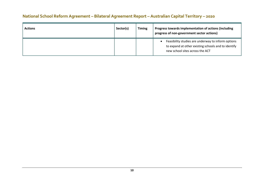| <b>Actions</b> | Sector(s) | <b>Timing</b> | Progress towards implementation of actions (including<br>progress of non-government sector actions)                                                       |
|----------------|-----------|---------------|-----------------------------------------------------------------------------------------------------------------------------------------------------------|
|                |           |               | Feasibility studies are underway to inform options<br>$\bullet$<br>to expand at other existing schools and to identify<br>new school sites across the ACT |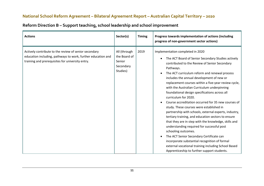| <b>Actions</b>                                                                                                                                                            | Sector(s)                                                       | <b>Timing</b> | Progress towards implementation of actions (including<br>progress of non-government sector actions)                                                                                                                                                                                                                                                                                                                                                                                                                                                                                                                                                                                                                                                                                                                                                                                                                                                                                                            |
|---------------------------------------------------------------------------------------------------------------------------------------------------------------------------|-----------------------------------------------------------------|---------------|----------------------------------------------------------------------------------------------------------------------------------------------------------------------------------------------------------------------------------------------------------------------------------------------------------------------------------------------------------------------------------------------------------------------------------------------------------------------------------------------------------------------------------------------------------------------------------------------------------------------------------------------------------------------------------------------------------------------------------------------------------------------------------------------------------------------------------------------------------------------------------------------------------------------------------------------------------------------------------------------------------------|
| Actively contribute to the review of senior secondary<br>education including, pathways to work, further education and<br>training and prerequisites for university entry. | All (through<br>the Board of<br>Senior<br>Secondary<br>Studies) | 2019          | Implementation completed in 2020<br>The ACT Board of Senior Secondary Studies actively<br>$\bullet$<br>contributed to the Review of Senior Secondary<br>Pathways.<br>The ACT curriculum reform and renewal process<br>$\bullet$<br>includes the annual development of new or<br>replacement courses within a five-year review cycle,<br>with the Australian Curriculum underpinning<br>foundational design specifications across all<br>curriculum for 2020.<br>Course accreditation occurred for 35 new courses of<br>study. These courses were established in<br>partnership with schools, external experts, industry,<br>tertiary training, and education sectors to ensure<br>that they are in step with the knowledge, skills and<br>understanding required for successful post<br>schooling outcomes.<br>The ACT Senior Secondary Certificate can<br>incorporate substantial recognition of formal<br>external vocational training including School Based<br>Apprenticeship to further support students. |

## **Reform Direction B – Support teaching, school leadership and school improvement**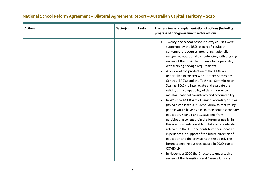#### **Actions Sector(s) Timing Progress towards implementation of actions (including progress of non-government sector actions)**  • Twenty-one school-based industry courses were supported by the BSSS as part of a suite of contemporary courses integrating nationally recognised vocational competencies, with ongoing review of the curriculum to maintain operability with training package requirements. • A review of the production of the ATAR was undertaken in concert with Tertiary Admissions Centres (TAC'S) and the Technical Committee on Scaling (TCoS) to interrogate and evaluate the validity and compatibility of data in order to maintain national consistency and accountability. • In 2019 the ACT Board of Senior Secondary Studies (BSSS) established a Student Forum so that young people would have a voice in their senior secondary education. Year 11 and 12 students from participating colleges join the forum annually. In this way, students are able to take on a leadership role within the ACT and contribute their ideas and experiences in support of the future direction of education and the provisions of the Board. The forum is ongoing but was paused in 2020 due to COVID-19. • In November 2020 the Directorate undertook a review of the Transitions and Careers Officers in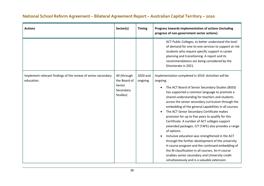| <b>Actions</b>                                                              | Sector(s)                                                       | <b>Timing</b>       | Progress towards implementation of actions (including<br>progress of non-government sector actions)                                                                                                                                                                                                                                                                                                                                                                                                                                                                                                                                                                                                                                                                                                                                                                                          |
|-----------------------------------------------------------------------------|-----------------------------------------------------------------|---------------------|----------------------------------------------------------------------------------------------------------------------------------------------------------------------------------------------------------------------------------------------------------------------------------------------------------------------------------------------------------------------------------------------------------------------------------------------------------------------------------------------------------------------------------------------------------------------------------------------------------------------------------------------------------------------------------------------------------------------------------------------------------------------------------------------------------------------------------------------------------------------------------------------|
|                                                                             |                                                                 |                     | ACT Public Colleges, to better understand the level<br>of demand for one-to-one services to support at risk<br>students who require specific support in career<br>planning and transitioning. A report and its<br>recommendations are being considered by the<br>Directorate in 2021.                                                                                                                                                                                                                                                                                                                                                                                                                                                                                                                                                                                                        |
| Implement relevant findings of the review of senior secondary<br>education. | All (through<br>the Board of<br>Senior<br>Secondary<br>Studies) | 2020 and<br>ongoing | Implementation completed in 2019. Activities will be<br>ongoing.<br>The ACT Board of Senior Secondary Studies (BSSS)<br>$\bullet$<br>has supported a common language to promote a<br>shared understanding for teachers and students<br>across the senior secondary curriculum through the<br>embedding of the general capabilities in all courses.<br>The ACT Senior Secondary Certificate makes<br>provision for up to five years to qualify for this<br>Certificate. A number of ACT colleges support<br>extended packages. CIT (TAFE) also provides a range<br>of options.<br>Inclusive education was strengthened in the ACT<br>through the further development of the university<br>H course program and the continued embedding of<br>the M classification in all courses. An H course<br>enables senior secondary and University credit<br>simultaneously and is a valuable extension |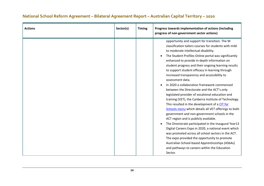| <b>Actions</b> | Sector(s) | <b>Timing</b> | Progress towards implementation of actions (including<br>progress of non-government sector actions)                                                                                                                                                                                                                                                                                                                                                                                                                                                                                                                                                                                                                                                                                                                                                                                                                                                                                                                                                                                                                                                                               |
|----------------|-----------|---------------|-----------------------------------------------------------------------------------------------------------------------------------------------------------------------------------------------------------------------------------------------------------------------------------------------------------------------------------------------------------------------------------------------------------------------------------------------------------------------------------------------------------------------------------------------------------------------------------------------------------------------------------------------------------------------------------------------------------------------------------------------------------------------------------------------------------------------------------------------------------------------------------------------------------------------------------------------------------------------------------------------------------------------------------------------------------------------------------------------------------------------------------------------------------------------------------|
|                |           |               | opportunity and support for transition. The M<br>classification tailors courses for students with mild<br>to moderate intellectual disability.<br>The Student Profiles Online portal was significantly<br>enhanced to provide in-depth information on<br>student progress and their ongoing learning results<br>to support student efficacy in learning through<br>increased transparency and accessibility to<br>assessment data.<br>In 2020 a collaboration framework commenced<br>between the Directorate and the ACT's only<br>legislated provider of vocational education and<br>training (VET), the Canberra Institute of Technology.<br>This resulted in the development of a CIT for<br>Schools menu which details all VET offerings to both<br>government and non-government schools in the<br>ACT region and is publicly available.<br>The Directorate participated in the inaugural Year13<br>Digital Careers Expo in 2020, a national event which<br>was promoted across all school sectors in the ACT.<br>The expo provided the opportunity to promote<br>Australian School-based Apprenticeships (ASbAs)<br>and pathways to careers within the Education<br>Sector. |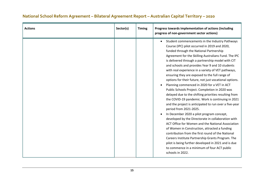#### **Actions Sector(s) Timing Progress towards implementation of actions (including progress of non-government sector actions)**  • Student commencements in the Industry Pathways Course (IPC) pilot occurred in 2019 and 2020, funded through the National Partnership Agreement for the Skilling Australians Fund. The IPC is delivered through a partnership model with CIT and schools and provides Year 9 and 10 students with real experience in a variety of VET pathways, ensuring they are exposed to the full range of options for their future, not just vocational options. • Planning commenced in 2020 for a VET in ACT Public Schools Project. Completion in 2020 was delayed due to the shifting priorities resulting from the COVID-19 pandemic. Work is continuing in 2021 and the project is anticipated to run over a five-year period from 2021-2025. • In December 2020 a pilot program concept, developed by the Directorate in collaboration with ACT Office for Women and the National Association of Women in Construction, attracted a funding contribution from the first round of the National Careers Institute Partnership Grants Program. The pilot is being further developed in 2021 and is due to commence in a minimum of four ACT public schools in 2022.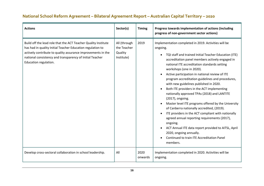| <b>Actions</b>                                                                                                                                                                                                                                                                    | Sector(s)                                            | <b>Timing</b>   | Progress towards implementation of actions (including<br>progress of non-government sector actions)                                                                                                                                                                                                                                                                                                                                                                                                                                                                                                                                                                                                                                                                                                                                                                                                                    |
|-----------------------------------------------------------------------------------------------------------------------------------------------------------------------------------------------------------------------------------------------------------------------------------|------------------------------------------------------|-----------------|------------------------------------------------------------------------------------------------------------------------------------------------------------------------------------------------------------------------------------------------------------------------------------------------------------------------------------------------------------------------------------------------------------------------------------------------------------------------------------------------------------------------------------------------------------------------------------------------------------------------------------------------------------------------------------------------------------------------------------------------------------------------------------------------------------------------------------------------------------------------------------------------------------------------|
| Build off the lead role that the ACT Teacher Quality Institute<br>has had in quality Initial Teacher Education regulation to<br>actively contribute to quality assurance improvements in the<br>national consistency and transparency of Initial Teacher<br>Education regulation. | All (through<br>the Teacher<br>Quality<br>Institute) | 2019            | Implementation completed in 2019. Activities will be<br>ongoing.<br>TQI staff and trained Initial Teacher Education (ITE)<br>accreditation panel members actively engaged in<br>national ITE accreditation standards setting<br>workshops (one in 2020).<br>Active participation in national review of ITE<br>program accreditation guidelines and procedures,<br>with new guidelines published in 2020.<br>Both ITE providers in the ACT implementing<br>nationally approved TPAs (2018) and LANTITE<br>(2017), ongoing.<br>Master level ITE programs offered by the University<br>of Canberra nationally accredited, (2019).<br>ITE providers in the ACT compliant with nationally<br>$\bullet$<br>agreed annual reporting requirements (2017),<br>ongoing.<br>ACT Annual ITE data report provided to AITSL, April<br>$\bullet$<br>2020, ongoing annually.<br>Continued to train ITE Accreditation Panel<br>members. |
| Develop cross-sectoral collaboration in school leadership.                                                                                                                                                                                                                        | All                                                  | 2020<br>onwards | Implementation completed in 2020. Activities will be<br>ongoing.                                                                                                                                                                                                                                                                                                                                                                                                                                                                                                                                                                                                                                                                                                                                                                                                                                                       |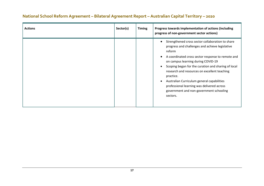| <b>Actions</b> | Sector(s) | <b>Timing</b> | Progress towards implementation of actions (including<br>progress of non-government sector actions)                                                                                                                                                                                                                                                                                                                                                                                                                    |
|----------------|-----------|---------------|------------------------------------------------------------------------------------------------------------------------------------------------------------------------------------------------------------------------------------------------------------------------------------------------------------------------------------------------------------------------------------------------------------------------------------------------------------------------------------------------------------------------|
|                |           |               | Strengthened cross sector collaboration to share<br>progress and challenges and achieve legislative<br>reform<br>A coordinated cross sector response to remote and<br>$\bullet$<br>on campus learning during COVID-19<br>Scoping began for the curation and sharing of local<br>$\bullet$<br>research and resources on excellent teaching<br>practice.<br>Australian Curriculum general capabilities<br>$\bullet$<br>professional learning was delivered across<br>government and non-government schooling<br>sectors. |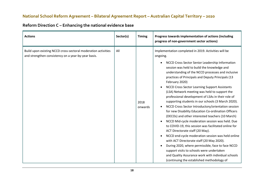| Reform Direction C - Enhancing the national evidence base |  |  |
|-----------------------------------------------------------|--|--|
|-----------------------------------------------------------|--|--|

| <b>Actions</b>                                                                                                       | Sector(s) | <b>Timing</b>   | Progress towards implementation of actions (including<br>progress of non-government sector actions)                                                                                                                                                                                                                                                                                                                                                                                                                                                                                                                                                                                                                                                                                                                                                                                                                                                                                                                                                                                                                                                    |
|----------------------------------------------------------------------------------------------------------------------|-----------|-----------------|--------------------------------------------------------------------------------------------------------------------------------------------------------------------------------------------------------------------------------------------------------------------------------------------------------------------------------------------------------------------------------------------------------------------------------------------------------------------------------------------------------------------------------------------------------------------------------------------------------------------------------------------------------------------------------------------------------------------------------------------------------------------------------------------------------------------------------------------------------------------------------------------------------------------------------------------------------------------------------------------------------------------------------------------------------------------------------------------------------------------------------------------------------|
| Build upon existing NCCD cross-sectoral moderation activities<br>and strengthen consistency on a year-by-year basis. | All       | 2018<br>onwards | Implementation completed in 2019. Activities will be<br>ongoing.<br>NCCD Cross Sector Senior Leadership Information<br>session was held to build the knowledge and<br>understanding of the NCCD processes and inclusive<br>practices of Principals and Deputy Principals (13<br>February 2020)<br><b>NCCD Cross Sector Learning Support Assistants</b><br>$\bullet$<br>(LSA) Network meeting was held to support the<br>professional development of LSAs in their role of<br>supporting students in our schools (3 March 2020).<br>NCCD Cross Sector Introductory/orientation session<br>for new Disability Education Co-ordination Officers<br>(DECOs) and other interested teachers (10 March)<br>NCCD Mid-cycle moderation session was held. Due<br>to COVID-19, this session was facilitated online for<br>ACT Directorate staff (20 May).<br>NCCD end-cycle moderation session was held online<br>with ACT Directorate staff (20 May 2020).<br>During 2020, where permissible, face to face NCCD<br>support visits to schools were undertaken<br>and Quality Assurance work with individual schools<br>(continuing the established methodology of |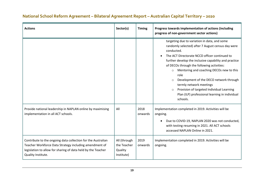| <b>Actions</b>                                                                                                                                                                                               | Sector(s)                                            | <b>Timing</b>   | Progress towards implementation of actions (including<br>progress of non-government sector actions)                                                                                                                                                                                                                                                                                                                                                                                                                                           |
|--------------------------------------------------------------------------------------------------------------------------------------------------------------------------------------------------------------|------------------------------------------------------|-----------------|-----------------------------------------------------------------------------------------------------------------------------------------------------------------------------------------------------------------------------------------------------------------------------------------------------------------------------------------------------------------------------------------------------------------------------------------------------------------------------------------------------------------------------------------------|
|                                                                                                                                                                                                              |                                                      |                 | targeting due to variation in data, and some<br>randomly selected) after 7 August census day were<br>conducted.<br>The ACT Directorate NCCD officer continued to<br>further develop the inclusive capability and practice<br>of DECOs through the following activities:<br>Mentoring and coaching DECOs new to this<br>$\circ$<br>role<br>Development of the DECO network through<br>$\circ$<br>termly network meetings<br>Provision of targeted Individual Learning<br>$\circ$<br>Plan (ILP) professional learning in individual<br>schools. |
| Provide national leadership in NAPLAN online by maximising<br>implementation in all ACT schools.                                                                                                             | All                                                  | 2018<br>onwards | Implementation completed in 2019. Activities will be<br>ongoing.<br>Due to COVID-19, NAPLAN 2020 was not conducted,<br>$\bullet$<br>with testing resuming in 2021. All ACT schools<br>accessed NAPLAN Online in 2021.                                                                                                                                                                                                                                                                                                                         |
| Contribute to the ongoing data collection for the Australian<br>Teacher Workforce Data Strategy including amendment of<br>legislation to allow for sharing of data held by the Teacher<br>Quality Institute. | All (through<br>the Teacher<br>Quality<br>Institute) | 2019<br>onwards | Implementation completed in 2019. Activities will be<br>ongoing.                                                                                                                                                                                                                                                                                                                                                                                                                                                                              |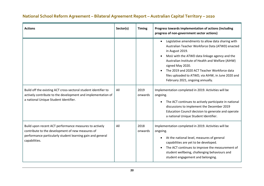#### **Actions Sector(s) Timing Progress towards implementation of actions (including progress of non-government sector actions)**  • Legislative amendments to allow data sharing with Australian Teacher Workforce Data (ATWD) enacted in August 2019. • MoU with the ATWD data linkage agency and the Australian Institute of Health and Welfare (AIHW) signed May 2020. • The 2019 and 2020 ACT Teacher Workforce data files uploaded to ATWD, via AIHW, in June 2020 and February 2021, ongoing annually. Build off the existing ACT cross-sectoral student identifier to actively contribute to the development and implementation of a national Unique Student Identifier. All 2019 onwards Implementation completed in 2019. Activities will be ongoing. • The ACT continues to actively participate in national discussions to implement the December 2019 Education Council decision to generate and operate a national Unique Student Identifier. Build upon recent ACT performance measures to actively contribute to the development of new measures of performance particularly student learning gain and general capabilities. All 2018 onwards Implementation completed in 2019. Activities will be ongoing. • At the national level, measures of general capabilities are yet to be developed. • The ACT continues to improve the measurement of student wellbeing, challenging behaviours and student engagement and belonging.